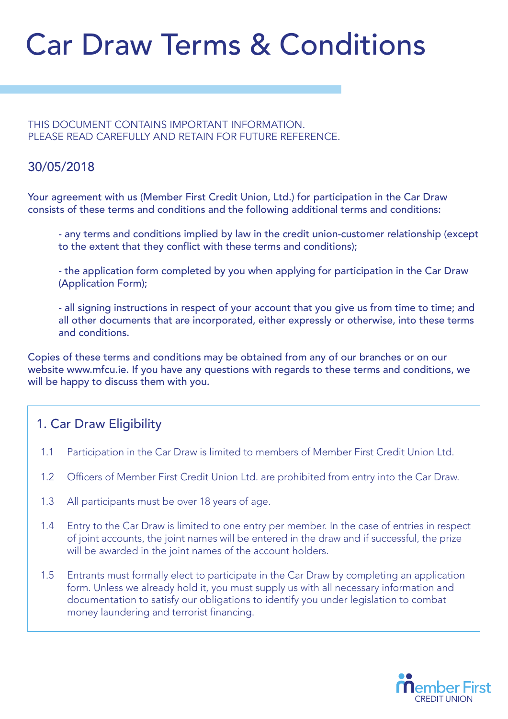# Car Draw Terms & Conditions

THIS DOCUMENT CONTAINS IMPORTANT INFORMATION. PLEASE READ CAREFULLY AND RETAIN FOR FUTURE REFERENCE.

#### 30/05/2018

Your agreement with us (Member First Credit Union, Ltd.) for participation in the Car Draw consists of these terms and conditions and the following additional terms and conditions:

 - any terms and conditions implied by law in the credit union-customer relationship (except to the extent that they conflict with these terms and conditions);

 - the application form completed by you when applying for participation in the Car Draw (Application Form);

 - all signing instructions in respect of your account that you give us from time to time; and all other documents that are incorporated, either expressly or otherwise, into these terms and conditions.

Copies of these terms and conditions may be obtained from any of our branches or on our website www.mfcu.ie. If you have any questions with regards to these terms and conditions, we will be happy to discuss them with you.

# 1. Car Draw Eligibility

- 1.1 Participation in the Car Draw is limited to members of Member First Credit Union Ltd.
- 1.2 Officers of Member First Credit Union Ltd. are prohibited from entry into the Car Draw.
- 1.3 All participants must be over 18 years of age.
- 1.4 Entry to the Car Draw is limited to one entry per member. In the case of entries in respect of joint accounts, the joint names will be entered in the draw and if successful, the prize will be awarded in the joint names of the account holders.
- 1.5 Entrants must formally elect to participate in the Car Draw by completing an application form. Unless we already hold it, you must supply us with all necessary information and documentation to satisfy our obligations to identify you under legislation to combat money laundering and terrorist financing.

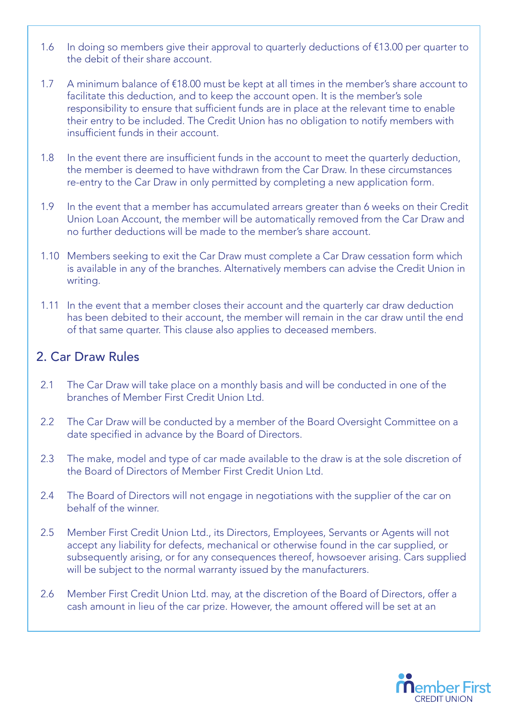- 1.6 In doing so members give their approval to quarterly deductions of €13.00 per quarter to the debit of their share account.
- 1.7 A minimum balance of €18.00 must be kept at all times in the member's share account to facilitate this deduction, and to keep the account open. It is the member's sole responsibility to ensure that sufficient funds are in place at the relevant time to enable their entry to be included. The Credit Union has no obligation to notify members with insufficient funds in their account.
- 1.8 In the event there are insufficient funds in the account to meet the quarterly deduction, the member is deemed to have withdrawn from the Car Draw. In these circumstances re-entry to the Car Draw in only permitted by completing a new application form.
- 1.9 In the event that a member has accumulated arrears greater than 6 weeks on their Credit Union Loan Account, the member will be automatically removed from the Car Draw and no further deductions will be made to the member's share account.
- 1.10 Members seeking to exit the Car Draw must complete a Car Draw cessation form which is available in any of the branches. Alternatively members can advise the Credit Union in writing.
- 1.11 In the event that a member closes their account and the quarterly car draw deduction has been debited to their account, the member will remain in the car draw until the end of that same quarter. This clause also applies to deceased members.

# 2. Car Draw Rules

- 2.1 The Car Draw will take place on a monthly basis and will be conducted in one of the branches of Member First Credit Union Ltd.
- 2.2 The Car Draw will be conducted by a member of the Board Oversight Committee on a date specified in advance by the Board of Directors.
- 2.3 The make, model and type of car made available to the draw is at the sole discretion of the Board of Directors of Member First Credit Union Ltd.
- 2.4 The Board of Directors will not engage in negotiations with the supplier of the car on behalf of the winner.
- 2.5 Member First Credit Union Ltd., its Directors, Employees, Servants or Agents will not accept any liability for defects, mechanical or otherwise found in the car supplied, or subsequently arising, or for any consequences thereof, howsoever arising. Cars supplied will be subject to the normal warranty issued by the manufacturers.
- 2.6 Member First Credit Union Ltd. may, at the discretion of the Board of Directors, offer a cash amount in lieu of the car prize. However, the amount offered will be set at an

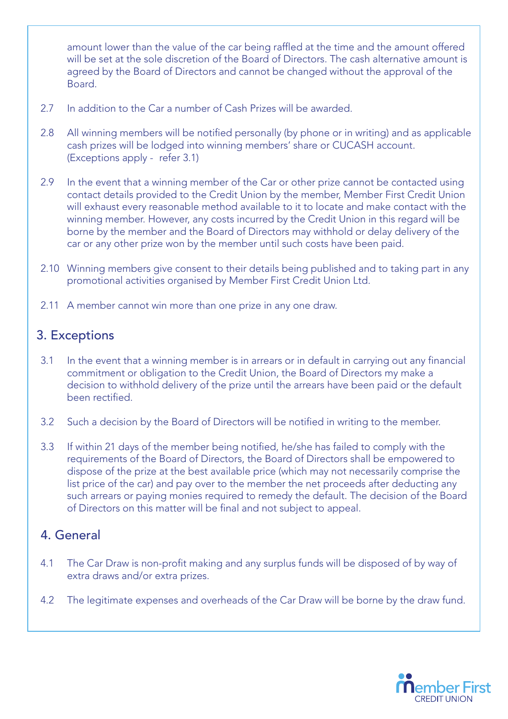amount lower than the value of the car being raffled at the time and the amount offered will be set at the sole discretion of the Board of Directors. The cash alternative amount is agreed by the Board of Directors and cannot be changed without the approval of the Board.

- 2.7 In addition to the Car a number of Cash Prizes will be awarded.
- 2.8 All winning members will be notified personally (by phone or in writing) and as applicable cash prizes will be lodged into winning members' share or CUCASH account. (Exceptions apply - refer 3.1)
- 2.9 In the event that a winning member of the Car or other prize cannot be contacted using contact details provided to the Credit Union by the member, Member First Credit Union will exhaust every reasonable method available to it to locate and make contact with the winning member. However, any costs incurred by the Credit Union in this regard will be borne by the member and the Board of Directors may withhold or delay delivery of the car or any other prize won by the member until such costs have been paid.
- 2.10 Winning members give consent to their details being published and to taking part in any promotional activities organised by Member First Credit Union Ltd.
- 2.11 A member cannot win more than one prize in any one draw.

#### 3. Exceptions

- 3.1 In the event that a winning member is in arrears or in default in carrying out any financial commitment or obligation to the Credit Union, the Board of Directors my make a decision to withhold delivery of the prize until the arrears have been paid or the default been rectified.
- 3.2 Such a decision by the Board of Directors will be notified in writing to the member.
- 3.3 If within 21 days of the member being notified, he/she has failed to comply with the requirements of the Board of Directors, the Board of Directors shall be empowered to dispose of the prize at the best available price (which may not necessarily comprise the list price of the car) and pay over to the member the net proceeds after deducting any such arrears or paying monies required to remedy the default. The decision of the Board of Directors on this matter will be final and not subject to appeal.

#### 4. General

- 4.1 The Car Draw is non-profit making and any surplus funds will be disposed of by way of extra draws and/or extra prizes.
- 4.2 The legitimate expenses and overheads of the Car Draw will be borne by the draw fund.

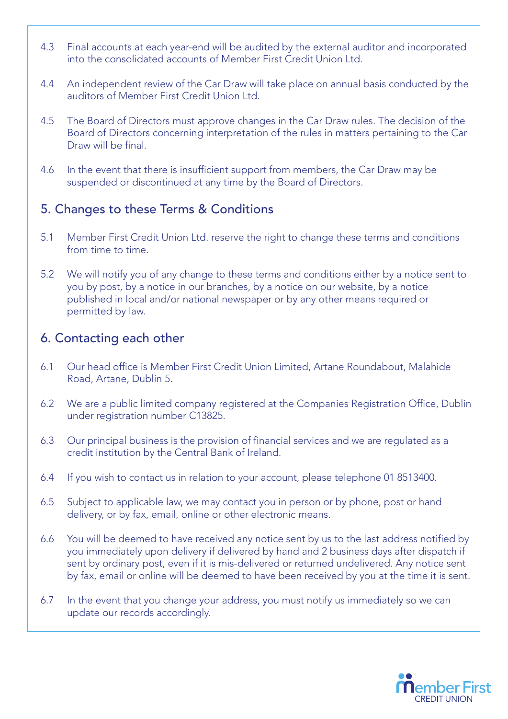- 4.3 Final accounts at each year-end will be audited by the external auditor and incorporated into the consolidated accounts of Member First Credit Union Ltd.
- 4.4 An independent review of the Car Draw will take place on annual basis conducted by the auditors of Member First Credit Union Ltd.
- 4.5 The Board of Directors must approve changes in the Car Draw rules. The decision of the Board of Directors concerning interpretation of the rules in matters pertaining to the Car Draw will be final.
- 4.6 In the event that there is insufficient support from members, the Car Draw may be suspended or discontinued at any time by the Board of Directors.

# 5. Changes to these Terms & Conditions

- 5.1 Member First Credit Union Ltd. reserve the right to change these terms and conditions from time to time.
- 5.2 We will notify you of any change to these terms and conditions either by a notice sent to you by post, by a notice in our branches, by a notice on our website, by a notice published in local and/or national newspaper or by any other means required or permitted by law.

# 6. Contacting each other

- 6.1 Our head office is Member First Credit Union Limited, Artane Roundabout, Malahide Road, Artane, Dublin 5.
- 6.2 We are a public limited company registered at the Companies Registration Office, Dublin under registration number C13825.
- 6.3 Our principal business is the provision of financial services and we are regulated as a credit institution by the Central Bank of Ireland.
- 6.4 If you wish to contact us in relation to your account, please telephone 01 8513400.
- 6.5 Subject to applicable law, we may contact you in person or by phone, post or hand delivery, or by fax, email, online or other electronic means.
- 6.6 You will be deemed to have received any notice sent by us to the last address notified by you immediately upon delivery if delivered by hand and 2 business days after dispatch if sent by ordinary post, even if it is mis-delivered or returned undelivered. Any notice sent by fax, email or online will be deemed to have been received by you at the time it is sent.
- 6.7 In the event that you change your address, you must notify us immediately so we can update our records accordingly.

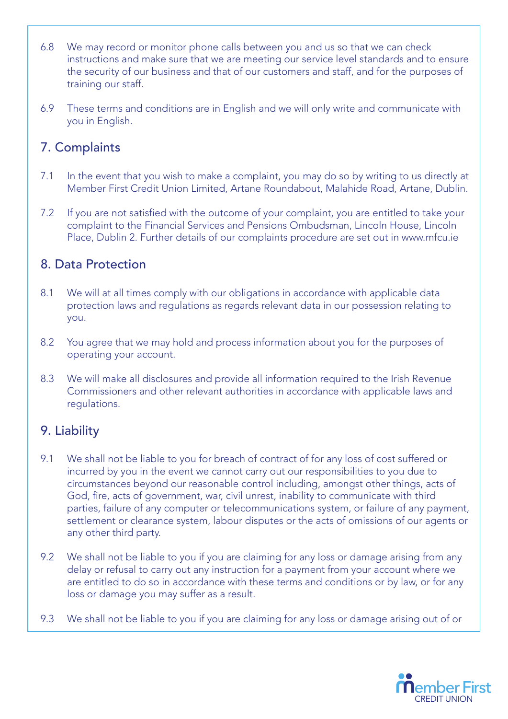- 6.8 We may record or monitor phone calls between you and us so that we can check instructions and make sure that we are meeting our service level standards and to ensure the security of our business and that of our customers and staff, and for the purposes of training our staff.
- 6.9 These terms and conditions are in English and we will only write and communicate with you in English.

#### 7. Complaints

- 7.1 In the event that you wish to make a complaint, you may do so by writing to us directly at Member First Credit Union Limited, Artane Roundabout, Malahide Road, Artane, Dublin.
- 7.2 If you are not satisfied with the outcome of your complaint, you are entitled to take your complaint to the Financial Services and Pensions Ombudsman, Lincoln House, Lincoln Place, Dublin 2. Further details of our complaints procedure are set out in www.mfcu.ie

#### 8. Data Protection

- 8.1 We will at all times comply with our obligations in accordance with applicable data protection laws and regulations as regards relevant data in our possession relating to you.
- 8.2 You agree that we may hold and process information about you for the purposes of operating your account.
- 8.3 We will make all disclosures and provide all information required to the Irish Revenue Commissioners and other relevant authorities in accordance with applicable laws and regulations.

# 9. Liability

- 9.1 We shall not be liable to you for breach of contract of for any loss of cost suffered or incurred by you in the event we cannot carry out our responsibilities to you due to circumstances beyond our reasonable control including, amongst other things, acts of God, fire, acts of government, war, civil unrest, inability to communicate with third parties, failure of any computer or telecommunications system, or failure of any payment, settlement or clearance system, labour disputes or the acts of omissions of our agents or any other third party.
- 9.2 We shall not be liable to you if you are claiming for any loss or damage arising from any delay or refusal to carry out any instruction for a payment from your account where we are entitled to do so in accordance with these terms and conditions or by law, or for any loss or damage you may suffer as a result.
- 9.3 We shall not be liable to you if you are claiming for any loss or damage arising out of or